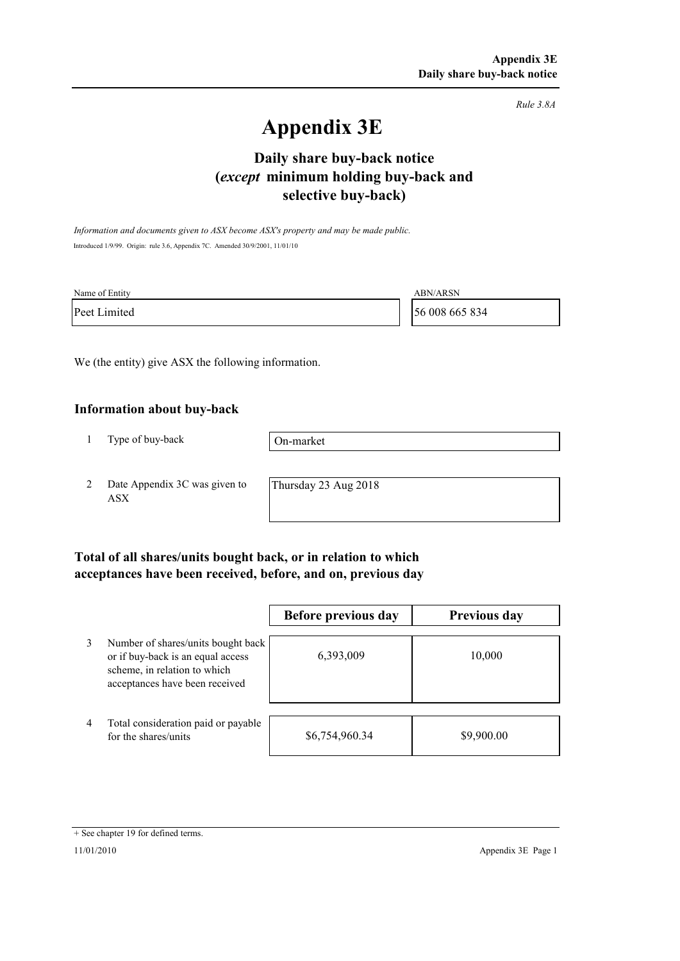*Rule 3.8A*

# **Appendix 3E**

# **selective buy-back) Daily share buy-back notice (***except* **minimum holding buy-back and**

*Information and documents given to ASX become ASX's property and may be made public.* Introduced 1/9/99. Origin: rule 3.6, Appendix 7C. Amended 30/9/2001, 11/01/10

| Name of Entity | <b>ABN/ARSN</b> |
|----------------|-----------------|
| Peet Limited   | 56 008 665 834  |

We (the entity) give ASX the following information.

#### **Information about buy-back**

1 Type of buy-back

On-market

2 Date Appendix 3C was given to ASX

Thursday 23 Aug 2018

### **Total of all shares/units bought back, or in relation to which acceptances have been received, before, and on, previous day**

|   |                                                                                                                                           | Before previous day | <b>Previous day</b> |
|---|-------------------------------------------------------------------------------------------------------------------------------------------|---------------------|---------------------|
| 3 | Number of shares/units bought back<br>or if buy-back is an equal access<br>scheme, in relation to which<br>acceptances have been received | 6,393,009           | 10,000              |
| 4 | Total consideration paid or payable<br>for the shares/units                                                                               | \$6,754,960.34      | \$9,900.00          |

<sup>+</sup> See chapter 19 for defined terms.